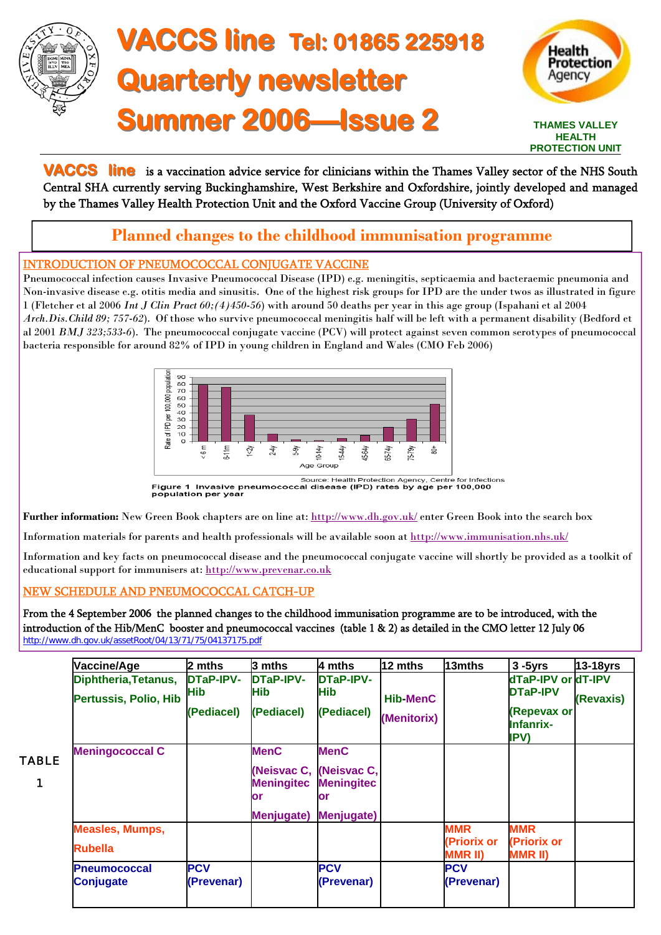

# **VACCS line VACCS line Tel: 01865 225918 Tel: 01865 225918 Quarterly newsletter Summer 2006 Summer 2006—Issue 2 Issue 2**



**VACCS** line is a vaccination advice service for clinicians within the Thames Valley sector of the NHS South Central SHA currently serving Buckinghamshire, West Berkshire and Oxfordshire, jointly developed and managed by the Thames Valley Health Protection Unit and the Oxford Vaccine Group (University of Oxford)

# **Planned changes to the childhood immunisation programme**

## INTRODUCTION OF PNEUMOCOCCAL CONJUGATE VACCINE

Pneumococcal infection causes Invasive Pneumococcal Disease (IPD) e.g. meningitis, septicaemia and bacteraemic pneumonia and Non-invasive disease e.g. otitis media and sinusitis. One of the highest risk groups for IPD are the under twos as illustrated in figure 1 (Fletcher et al 2006 *Int J Clin Pract 60;(4)450-56*) with around 50 deaths per year in this age group (Ispahani et al 2004 *Arch.Dis.Child 89; 757-62*). Of those who survive pneumococcal meningitis half will be left with a permanent disability (Bedford et al 2001 *BMJ 323;533-6*). The pneumococcal conjugate vaccine (PCV) will protect against seven common serotypes of pneumococcal bacteria responsible for around 82% of IPD in young children in England and Wales (CMO Feb 2006)



**Further information:** New Green Book chapters are on line at: [http://www.dh.gov.uk](http://www.dh.gov.uk/PublicationsAndStatistics/Publications/PublicationsPolicyAndGuidance/PublicationsPolicyAndGuidanceArticle/fs/en?CONTENT_ID=4072977&chk=87uz6M)/ enter Green Book into the search box

Information materials for parents and health professionals will be available soon at<http://www.immunisation.nhs.uk/>

Information and key facts on pneumococcal disease and the pneumococcal conjugate vaccine will shortly be provided as a toolkit of educational support for immunisers at: http://www.prevenar.co.uk

## NEW SCHEDULE AND PNEUMOCOCCAL CATCH-UP

From the 4 September 2006 the planned changes to the childhood immunisation programme are to be introduced, with the introduction of the Hib/MenC booster and pneumococcal vaccines (table 1 & 2) as detailed in the CMO letter 12 July 06 http://www.dh.gov.uk/assetRoot/04/13/71/75/04137175.pdf

| Vaccine/Age                             | 2 mths                   | 3 mths                                 | 4 mths                                 | 12 mths         | 13mths                        | $3 - 5yrs$                              | <b>13-18yrs</b> |
|-----------------------------------------|--------------------------|----------------------------------------|----------------------------------------|-----------------|-------------------------------|-----------------------------------------|-----------------|
| Diphtheria, Tetanus,                    | <b>DTaP-IPV-</b>         | <b>DTaP-IPV-</b>                       | <b>DTaP-IPV-</b>                       |                 |                               | dTaP-IPV or dT-IPV                      |                 |
| Pertussis, Polio, Hib                   | Hib                      | Hib                                    | <b>Hib</b>                             | <b>Hib-MenC</b> |                               | <b>DTaP-IPV</b>                         | (Revaxis)       |
|                                         | (Pediacel)               | (Pediacel)                             | (Pediacel)                             | (Menitorix)     |                               | (Repevax or<br><b>Infanrix-</b><br>IPV) |                 |
| <b>Meningococcal C</b>                  |                          | <b>MenC</b>                            | <b>MenC</b>                            |                 |                               |                                         |                 |
| TABLE                                   |                          | (Neisvac C,<br><b>Meningitec</b><br>or | (Neisvac C,<br><b>Meningitec</b><br>or |                 |                               |                                         |                 |
|                                         |                          | Menjugate)                             | <b>Menjugate)</b>                      |                 |                               |                                         |                 |
| <b>Measles, Mumps,</b>                  |                          |                                        |                                        |                 | <b>MMR</b>                    | <b>MMR</b>                              |                 |
| <b>Rubella</b>                          |                          |                                        |                                        |                 | (Priorix or<br><b>MMR II)</b> | (Priorix or<br><b>MMR II)</b>           |                 |
| <b>Pneumococcal</b><br><b>Conjugate</b> | <b>PCV</b><br>(Prevenar) |                                        | <b>PCV</b><br>(Prevenar)               |                 | <b>PCV</b><br>(Prevenar)      |                                         |                 |
|                                         |                          |                                        |                                        |                 |                               |                                         |                 |